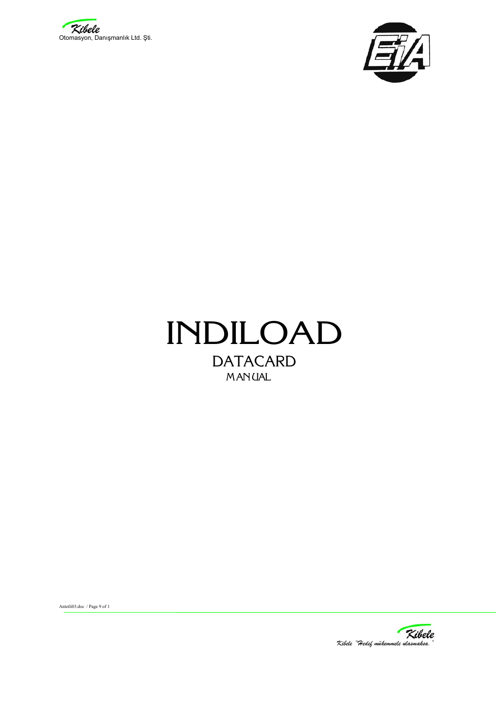





Antetli03.doc / Page 9 of 1

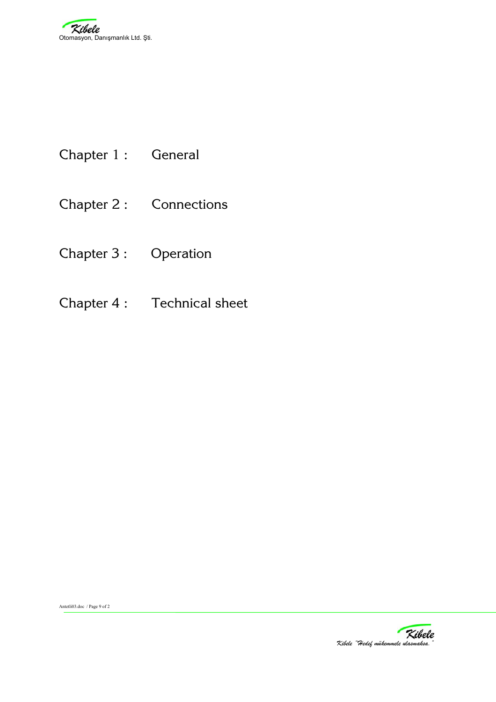- Chapter 1 : General
- Chapter 2 : Connections
- Chapter 3 : Operation
- Chapter 4 : Technical sheet



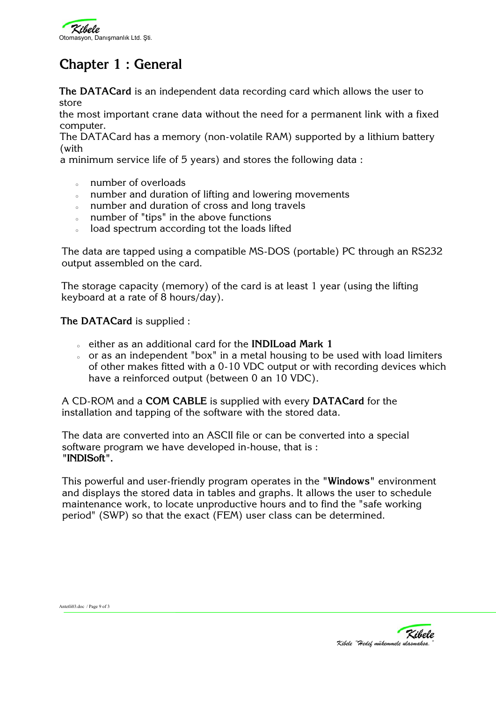

# **Chapter 1 : General**

**The DATACard** is an independent data recording card which allows the user to store

the most important crane data without the need for a permanent link with a fixed computer.

The DATACard has a memory (non-volatile RAM) supported by a lithium battery (with

a minimum service life of 5 years) and stores the following data :

- o number of overloads
- o number and duration of lifting and lowering movements
- <sup>o</sup> number and duration of cross and long travels
- <sup>o</sup> number of "tips" in the above functions
- o load spectrum according tot the loads lifted

The data are tapped using a compatible MS-DOS (portable) PC through an RS232 output assembled on the card.

The storage capacity (memory) of the card is at least 1 year (using the lifting keyboard at a rate of 8 hours/day).

**The DATACard** is supplied :

- <sup>o</sup> either as an additional card for the **INDILoad Mark 1**
- or as an independent "box" in a metal housing to be used with load limiters of other makes fitted with a 0-10 VDC output or with recording devices which have a reinforced output (between 0 an 10 VDC).

A CD-ROM and a **COM CABLE** is supplied with every **DATACard** for the installation and tapping of the software with the stored data.

The data are converted into an ASCII file or can be converted into a special software program we have developed in-house, that is : **"INDISoft".**

This powerful and user-friendly program operates in the **"Windows"** environment and displays the stored data in tables and graphs. It allows the user to schedule maintenance work, to locate unproductive hours and to find the "safe working period" (SWP) so that the exact (FEM) user class can be determined.



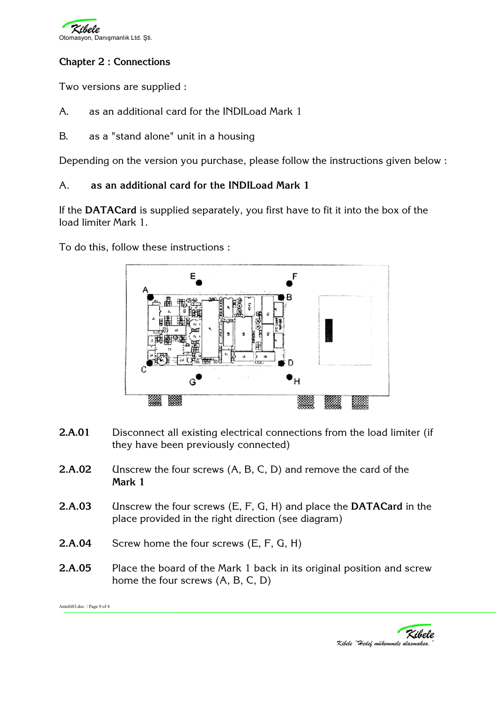

## **Chapter 2 : Connections**

Two versions are supplied :

- A. as an additional card for the INDILoad Mark 1
- B. as a "stand alone" unit in a housing

Depending on the version you purchase, please follow the instructions given below :

### A. **as an additional card for the INDILoad Mark 1**

If the **DATACard** is supplied separately, you first have to fit it into the box of the load limiter Mark 1.

To do this, follow these instructions :



- **2.A.01** Disconnect all existing electrical connections from the load limiter (if they have been previously connected)
- **2.A.02** Unscrew the four screws (A, B, C, D) and remove the card of the **Mark 1**
- **2.A.03** Unscrew the four screws (E, F, G, H) and place the **DATACard** in the place provided in the right direction (see diagram)
- **2.A.04** Screw home the four screws (E, F, G, H)
- **2.A.05** Place the board of the Mark 1 back in its original position and screw home the four screws (A, B, C, D)

Antetli03.doc / Page 9 of 4

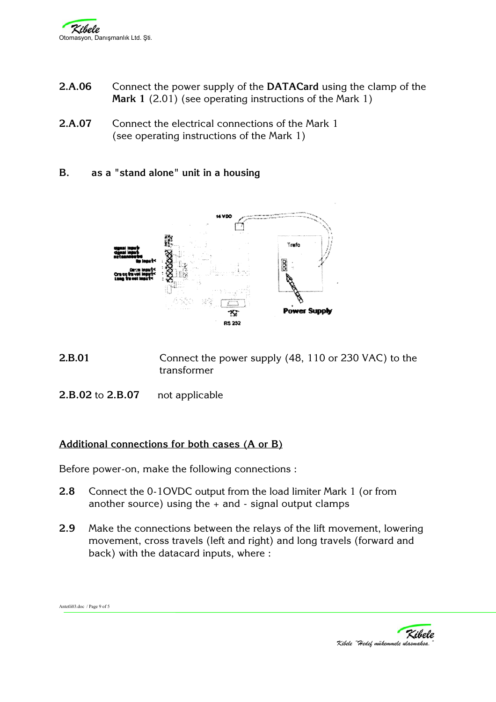- **2.A.06** Connect the power supply of the **DATACard** using the clamp of the **Mark 1** (2.01) (see operating instructions of the Mark 1)
- **2.A.07** Connect the electrical connections of the Mark 1 (see operating instructions of the Mark 1)
- **B. as a "stand alone" unit in a housing**



- **2.B.01** Connect the power supply (48, 110 or 230 VAC) to the transformer
- **2.B.02** to **2.B.07** not applicable

Antetli03.doc / Page 9 of 5

#### **Additional connections for both cases (A or B)**

Before power-on, make the following connections :

- **2.8** Connect the 0-1OVDC output from the load limiter Mark 1 (or from another source) using the  $+$  and  $-$  signal output clamps
- **2.9** Make the connections between the relays of the lift movement, lowering movement, cross travels (left and right) and long travels (forward and back) with the datacard inputs, where :

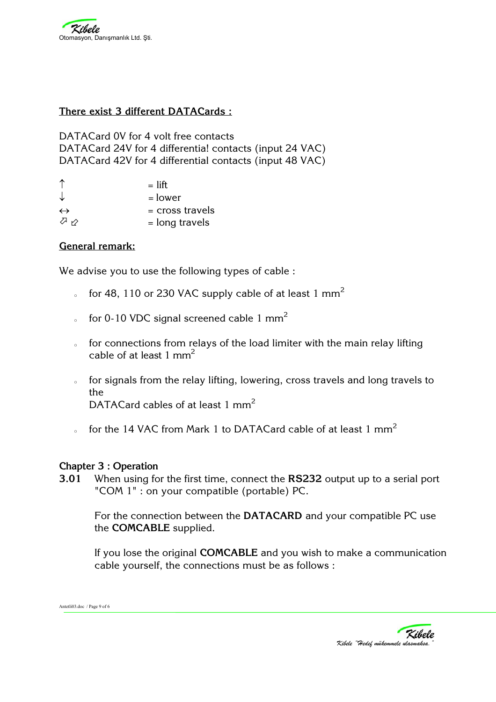#### **There exist 3 different DATACards :**

DATACard 0V for 4 volt free contacts DATACard 24V for 4 differentia! contacts (input 24 VAC) DATACard 42V for 4 differential contacts (input 48 VAC)

|                   | $=$ lift          |
|-------------------|-------------------|
| ↓                 | = lower           |
| $\leftrightarrow$ | $=$ cross travels |
| クッ                | $=$ long travels  |

### **General remark:**

We advise you to use the following types of cable :

- o for 48, 110 or 230 VAC supply cable of at least 1  $mm<sup>2</sup>$
- for 0-10 VDC signal screened cable 1  $mm<sup>2</sup>$
- of for connections from relays of the load limiter with the main relay lifting cable of at least 1 mm2
- o for signals from the relay lifting, lowering, cross travels and long travels to the DATACard cables of at least 1 mm<sup>2</sup>
- o for the 14 VAC from Mark 1 to DATACard cable of at least 1  $mm<sup>2</sup>$

#### **Chapter 3 : Operation**

**3.01** When using for the first time, connect the **RS232** output up to a serial port "COM 1" : on your compatible (portable) PC.

For the connection between the **DATACARD** and your compatible PC use the **COMCABLE** supplied.

If you lose the original **COMCABLE** and you wish to make a communication cable yourself, the connections must be as follows :



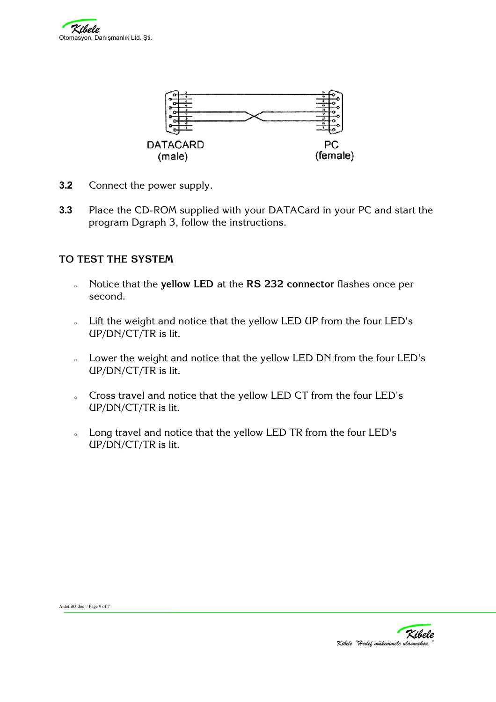



- **3.2** Connect the power supply.
- **3.3** Place the CD-ROM supplied with your DATACard in your PC and start the program Dgraph 3, follow the instructions.

#### **TO TEST THE SYSTEM**

- <sup>o</sup> Notice that the **yellow LED** at the **RS 232 connector** flashes once per second.
- <sup>o</sup> Lift the weight and notice that the yellow LED UP from the four LED's UP/DN/CT/TR is lit.
- o Lower the weight and notice that the yellow LED DN from the four LED's UP/DN/CT/TR is lit.
- o Cross travel and notice that the yellow LED CT from the four LED's UP/DN/CT/TR is lit.
- o Long travel and notice that the yellow LED TR from the four LED's UP/DN/CT/TR is lit.

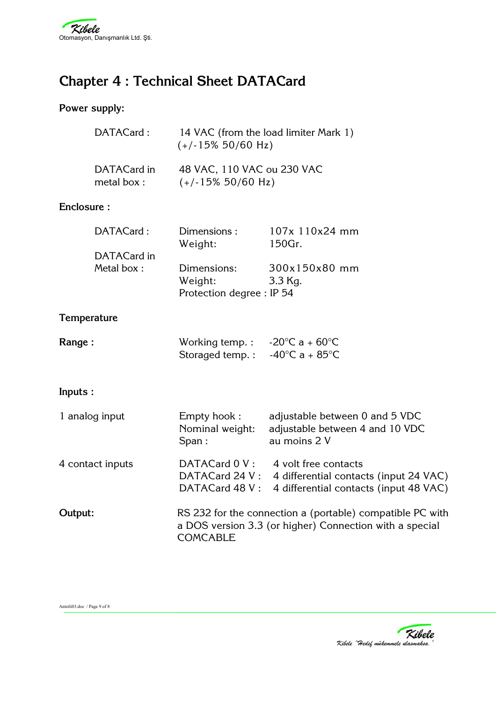

# **Chapter 4 : Technical Sheet DATACard**

## **Power supply:**

| DATACard:   | 14 VAC (from the load limiter Mark 1)<br>$(+/-15\%50/60 Hz)$ |
|-------------|--------------------------------------------------------------|
| DATACard in | 48 VAC, 110 VAC ou 230 VAC                                   |
| metal box:  | $(+/-15\%50/60 Hz)$                                          |

## **Enclosure :**

| DATACard:   | Dimensions:               | 107x 110x24 mm |
|-------------|---------------------------|----------------|
|             | Weight:                   | 150Gr.         |
| DATACard in |                           |                |
| Metal box:  | Dimensions:               | 300x150x80 mm  |
|             | Weight:                   | 3.3 Kg.        |
|             | Protection degree : IP 54 |                |

## **Temperature**

| <b>Range :</b> | Working temp.:   | -20 $^{\circ}$ C a + 60 $^{\circ}$ C $^{-}$ |
|----------------|------------------|---------------------------------------------|
|                | Storaged temp. : | -40°C a + 85°C                              |

## **Inputs :**

| 1 analog input   | Empty hook:<br>Nominal weight:<br>Span:                                                                                                 | adjustable between 0 and 5 VDC<br>adjustable between 4 and 10 VDC<br>au moins 2 V                        |
|------------------|-----------------------------------------------------------------------------------------------------------------------------------------|----------------------------------------------------------------------------------------------------------|
| 4 contact inputs | DATACard 0 V:<br>DATACard 24 V:<br>DATACard 48 V:                                                                                       | 4 volt free contacts<br>4 differential contacts (input 24 VAC)<br>4 differential contacts (input 48 VAC) |
| Output:          | RS 232 for the connection a (portable) compatible PC with<br>a DOS version 3.3 (or higher) Connection with a special<br><b>COMCABLE</b> |                                                                                                          |